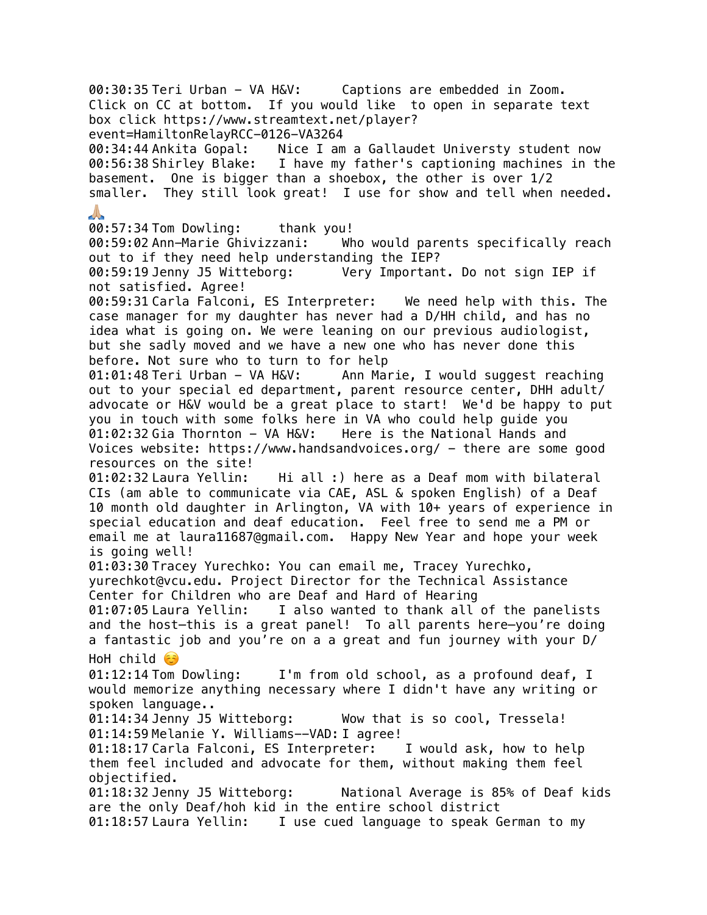<u>s as abbe a main and a m</u> Captions are embedded in Zoom. Click on CC at bottom. If you would like to open in separate text box click https://www.streamtext.net/player? event=HamiltonRelayRCC-0126-VA3264 00:34:44 Ankita Gopal: Nice I am a Gallaudet Universty student now 00:56:38 Shirley Blake: I have my father's captioning machines in the basement. One is bigger than a shoebox, the other is over 1/2 smaller. They still look great! I use for show and tell when needed.  $\overline{\mathcal{A}}$ 00:57:34 Tom Dowling: thank you! 00:59:02 Ann-Marie Ghivizzani: Who would parents specifically reach out to if they need help understanding the IEP? 00:59:19 Jenny J5 Witteborg: Very Important. Do not sign IEP if not satisfied. Agree! 00:59:31 Carla Falconi, ES Interpreter: We need help with this. The case manager for my daughter has never had a D/HH child, and has no idea what is going on. We were leaning on our previous audiologist, but she sadly moved and we have a new one who has never done this before. Not sure who to turn to for help 01:01:48 Teri Urban - VA H&V: Ann Marie, I would suggest reaching out to your special ed department, parent resource center, DHH adult/ advocate or H&V would be a great place to start! We'd be happy to put you in touch with some folks here in VA who could help guide you 01:02:32 Gia Thornton - VA H&V: Here is the National Hands and Voices website: https://www.handsandvoices.org/ - there are some good resources on the site! 01:02:32 Laura Yellin: Hi all :) here as a Deaf mom with bilateral CIs (am able to communicate via CAE, ASL & spoken English) of a Deaf 10 month old daughter in Arlington, VA with 10+ years of experience in special education and deaf education. Feel free to send me a PM or email me at laura11687@gmail.com. Happy New Year and hope your week is going well! 01:03:30 Tracey Yurechko: You can email me, Tracey Yurechko, yurechkot@vcu.edu. Project Director for the Technical Assistance Center for Children who are Deaf and Hard of Hearing 01:07:05 Laura Yellin: I also wanted to thank all of the panelists and the host—this is a great panel! To all parents here—you're doing a fantastic job and you're on a a great and fun journey with your D/ HoH child  $\odot$ 01:12:14 Tom Dowling: I'm from old school, as a profound deaf, I would memorize anything necessary where I didn't have any writing or spoken language.. 01:14:34 Jenny J5 Witteborg: Wow that is so cool, Tressela! 01:14:59 Melanie Y. Williams--VAD: I agree! 01:18:17 Carla Falconi, ES Interpreter: I would ask, how to help them feel included and advocate for them, without making them feel objectified. 01:18:32 Jenny J5 Witteborg: National Average is 85% of Deaf kids are the only Deaf/hoh kid in the entire school district 01:18:57 Laura Yellin: I use cued language to speak German to my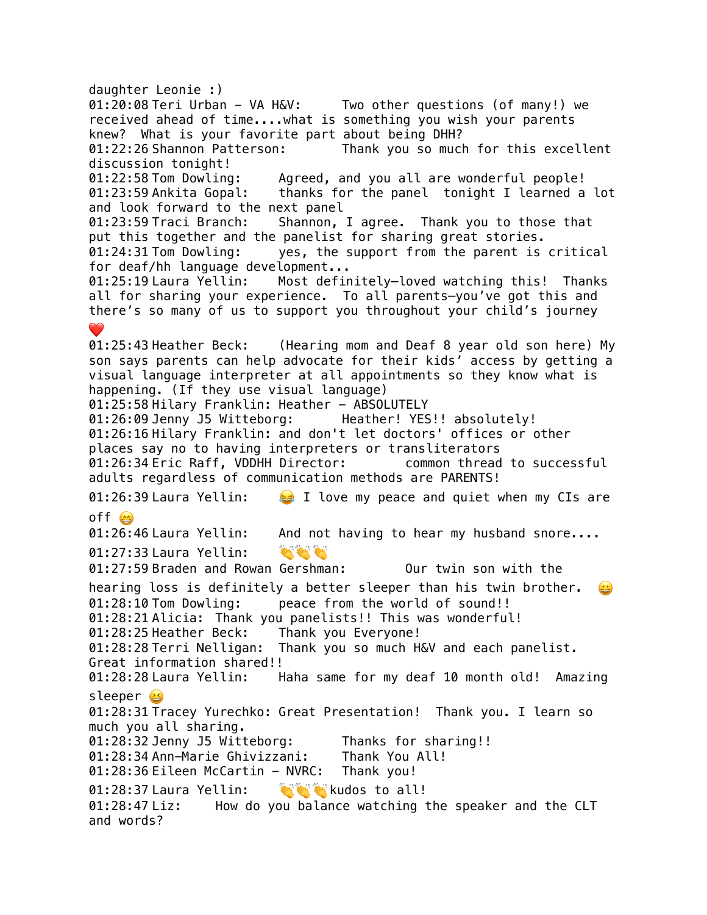daughter Leonie :) 01:20:08 Teri Urban - VA H&V: Two other questions (of many!) we received ahead of time....what is something you wish your parents knew? What is your favorite part about being DHH? 01:22:26 Shannon Patterson: Thank you so much for this excellent discussion tonight! 01:22:58 Tom Dowling: Agreed, and you all are wonderful people! 01:23:59 Ankita Gopal: thanks for the panel tonight I learned a lot and look forward to the next panel 01:23:59 Traci Branch: Shannon, I agree. Thank you to those that put this together and the panelist for sharing great stories. 01:24:31 Tom Dowling: yes, the support from the parent is critical for deaf/hh language development... 01:25:19 Laura Yellin: Most definitely—loved watching this! Thanks all for sharing your experience. To all parents—you've got this and there's so many of us to support you throughout your child's journey 01:25:43 Heather Beck: (Hearing mom and Deaf 8 year old son here) My son says parents can help advocate for their kids' access by getting a visual language interpreter at all appointments so they know what is happening. (If they use visual language) 01:25:58 Hilary Franklin: Heather - ABSOLUTELY 01:26:09 Jenny J5 Witteborg: Heather! YES!! absolutely! 01:26:16 Hilary Franklin: and don't let doctors' offices or other places say no to having interpreters or transliterators 01:26:34 Eric Raff, VDDHH Director: common thread to successful adults regardless of communication methods are PARENTS! 01:26:39 Laura Yellin: I love my peace and quiet when my CIs are off  $\bigcirc$ 01:26:46 Laura Yellin: And not having to hear my husband snore.... the text text 01:27:33 Laura Yellin: 01:27:59 Braden and Rowan Gershman: Our twin son with the hearing loss is definitely a better sleeper than his twin brother. 01:28:10 Tom Dowling: peace from the world of sound!! 01:28:21 Alicia: Thank you panelists!! This was wonderful! 01:28:25 Heather Beck: Thank you Everyone! 01:28:28 Terri Nelligan: Thank you so much H&V and each panelist. Great information shared!! 01:28:28 Laura Yellin: Haha same for my deaf 10 month old! Amazing sleeper<sup>2</sup> 01:28:31 Tracey Yurechko: Great Presentation! Thank you. I learn so much you all sharing. 01:28:32 Jenny J5 Witteborg: Thanks for sharing!! 01:28:34 Ann-Marie Ghivizzani: Thank You All! 01:28:36 Eileen McCartin - NVRC: Thank you! **kudos to all!** 01:28:37 Laura Yellin: 01:28:47 Liz: How do you balance watching the speaker and the CLT and words?